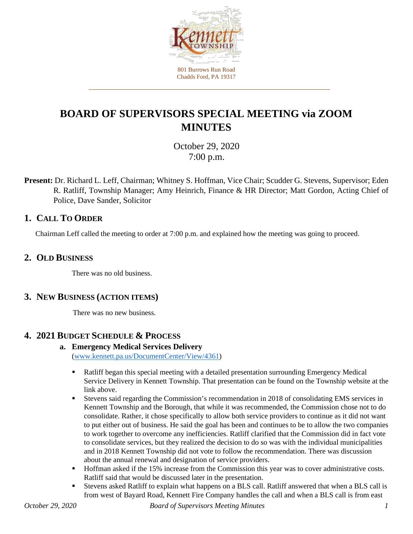

# **BOARD OF SUPERVISORS SPECIAL MEETING via ZOOM MINUTES**

October 29, 2020 7:00 p.m.

**Present:** Dr. Richard L. Leff, Chairman; Whitney S. Hoffman, Vice Chair; Scudder G. Stevens, Supervisor; Eden R. Ratliff, Township Manager; Amy Heinrich, Finance & HR Director; Matt Gordon, Acting Chief of Police, Dave Sander, Solicitor

## **1. CALL TO ORDER**

Chairman Leff called the meeting to order at 7:00 p.m. and explained how the meeting was going to proceed.

#### **2. OLD BUSINESS**

There was no old business.

#### **3. NEW BUSINESS (ACTION ITEMS)**

There was no new business.

## **4. 2021 BUDGET SCHEDULE & PROCESS**

#### **a. Emergency Medical Services Delivery** [\(www.kennett.pa.us/DocumentCenter/View/4361\)](https://www.kennett.pa.us/DocumentCenter/View/4361/102920-SPECCIAL-MEETING-EMS-Presentation)

- **•** Ratliff began this special meeting with a detailed presentation surrounding Emergency Medical Service Delivery in Kennett Township. That presentation can be found on the Township website at the link above.
- Stevens said regarding the Commission's recommendation in 2018 of consolidating EMS services in Kennett Township and the Borough, that while it was recommended, the Commission chose not to do consolidate. Rather, it chose specifically to allow both service providers to continue as it did not want to put either out of business. He said the goal has been and continues to be to allow the two companies to work together to overcome any inefficiencies. Ratliff clarified that the Commission did in fact vote to consolidate services, but they realized the decision to do so was with the individual municipalities and in 2018 Kennett Township did not vote to follow the recommendation. There was discussion about the annual renewal and designation of service providers.
- Hoffman asked if the 15% increase from the Commission this year was to cover administrative costs. Ratliff said that would be discussed later in the presentation.
- Stevens asked Ratliff to explain what happens on a BLS call. Ratliff answered that when a BLS call is from west of Bayard Road, Kennett Fire Company handles the call and when a BLS call is from east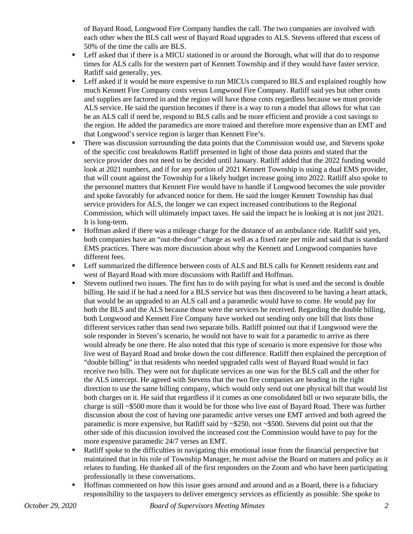of Bayard Road, Longwood Fire Company handles the call. The two companies are involved with each other when the BLS call west of Bayard Road upgrades to ALS. Stevens offered that excess of 50% of the time the calls are BLS.

- Leff asked that if there is a MICU stationed in or around the Borough, what will that do to response times for ALS calls for the western part of Kennett Township and if they would have faster service. Ratliff said generally, yes.
- **EXECUTE:** Leff asked if it would be more expensive to run MICUs compared to BLS and explained roughly how much Kennett Fire Company costs versus Longwood Fire Company. Ratliff said yes but other costs and supplies are factored in and the region will have those costs regardless because we must provide ALS service. He said the question becomes if there is a way to run a model that allows for what can be an ALS call if need be, respond to BLS calls and be more efficient and provide a cost savings to the region. He added the paramedics are more trained and therefore more expensive than an EMT and that Longwood's service region is larger than Kennett Fire's.
- There was discussion surrounding the data points that the Commission would use, and Stevens spoke of the specific cost breakdowns Ratliff presented in light of those data points and stated that the service provider does not need to be decided until January. Ratliff added that the 2022 funding would look at 2021 numbers, and if for any portion of 2021 Kennett Township is using a dual EMS provider, that will count against the Township for a likely budget increase going into 2022. Ratliff also spoke to the personnel matters that Kennett Fire would have to handle if Longwood becomes the sole provider and spoke favorably for advanced notice for them. He said the longer Kennett Township has dual service providers for ALS, the longer we can expect increased contributions to the Regional Commission, which will ultimately impact taxes. He said the impact he is looking at is not just 2021. It is long-term.
- Hoffman asked if there was a mileage charge for the distance of an ambulance ride. Ratliff said yes, both companies have an "out-the-door" charge as well as a fixed rate per mile and said that is standard EMS practices. There was more discussion about why the Kennett and Longwood companies have different fees.
- **EXECUTE:** Leff summarized the difference between costs of ALS and BLS calls for Kennett residents east and west of Bayard Road with more discussions with Ratliff and Hoffman.
- Stevens outlined two issues. The first has to do with paying for what is used and the second is double billing. He said if he had a need for a BLS service but was then discovered to be having a heart attack, that would be an upgraded to an ALS call and a paramedic would have to come. He would pay for both the BLS and the ALS because those were the services he received. Regarding the double billing, both Longwood and Kennett Fire Company have worked out sending only one bill that lists those different services rather than send two separate bills. Ratliff pointed out that if Longwood were the sole responder in Steven's scenario, he would not have to wait for a paramedic to arrive as there would already be one there. He also noted that this type of scenario is more expensive for those who live west of Bayard Road and broke down the cost difference. Ratliff then explained the perception of "double billing" in that residents who needed upgraded calls west of Bayard Road would in fact receive two bills. They were not for duplicate services as one was for the BLS call and the other for the ALS intercept. He agreed with Stevens that the two fire companies are heading in the right direction to use the same billing company, which would only send out one physical bill that would list both charges on it. He said that regardless if it comes as one consolidated bill or two separate bills, the charge is still ~\$500 more than it would be for those who live east of Bayard Road. There was further discussion about the cost of having one paramedic arrive verses one EMT arrived and both agreed the paramedic is more expensive, but Ratliff said by ~\$250, not ~\$500. Stevens did point out that the other side of this discussion involved the increased cost the Commission would have to pay for the more expensive paramedic 24/7 verses an EMT.
- Ratliff spoke to the difficulties in navigating this emotional issue from the financial perspective but maintained that in his role of Township Manager, he must advise the Board on matters and policy as it relates to funding. He thanked all of the first responders on the Zoom and who have been participating professionally in these conversations.
- Hoffman commented on how this issue goes around and around and as a Board, there is a fiduciary responsibility to the taxpayers to deliver emergency services as efficiently as possible. She spoke to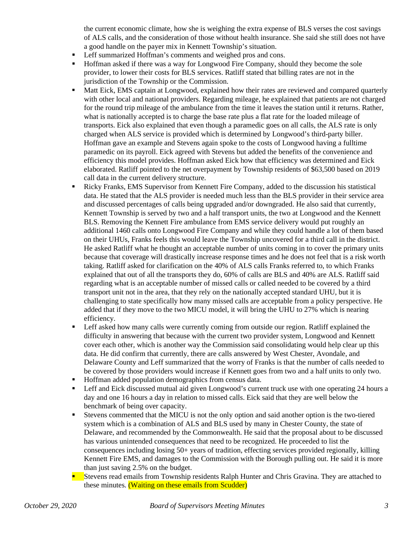the current economic climate, how she is weighing the extra expense of BLS verses the cost savings of ALS calls, and the consideration of those without health insurance. She said she still does not have a good handle on the payer mix in Kennett Township's situation.

- Leff summarized Hoffman's comments and weighed pros and cons.
- Hoffman asked if there was a way for Longwood Fire Company, should they become the sole provider, to lower their costs for BLS services. Ratliff stated that billing rates are not in the jurisdiction of the Township or the Commission.
- Matt Eick, EMS captain at Longwood, explained how their rates are reviewed and compared quarterly with other local and national providers. Regarding mileage, he explained that patients are not charged for the round trip mileage of the ambulance from the time it leaves the station until it returns. Rather, what is nationally accepted is to charge the base rate plus a flat rate for the loaded mileage of transports. Eick also explained that even though a paramedic goes on all calls, the ALS rate is only charged when ALS service is provided which is determined by Longwood's third-party biller. Hoffman gave an example and Stevens again spoke to the costs of Longwood having a fulltime paramedic on its payroll. Eick agreed with Stevens but added the benefits of the convenience and efficiency this model provides. Hoffman asked Eick how that efficiency was determined and Eick elaborated. Ratliff pointed to the net overpayment by Township residents of \$63,500 based on 2019 call data in the current delivery structure.
- Ricky Franks, EMS Supervisor from Kennett Fire Company, added to the discussion his statistical data. He stated that the ALS provider is needed much less than the BLS provider in their service area and discussed percentages of calls being upgraded and/or downgraded. He also said that currently, Kennett Township is served by two and a half transport units, the two at Longwood and the Kennett BLS. Removing the Kennett Fire ambulance from EMS service delivery would put roughly an additional 1460 calls onto Longwood Fire Company and while they could handle a lot of them based on their UHUs, Franks feels this would leave the Township uncovered for a third call in the district. He asked Ratliff what he thought an acceptable number of units coming in to cover the primary units because that coverage will drastically increase response times and he does not feel that is a risk worth taking. Ratliff asked for clarification on the 40% of ALS calls Franks referred to, to which Franks explained that out of all the transports they do, 60% of calls are BLS and 40% are ALS. Ratliff said regarding what is an acceptable number of missed calls or called needed to be covered by a third transport unit not in the area, that they rely on the nationally accepted standard UHU, but it is challenging to state specifically how many missed calls are acceptable from a policy perspective. He added that if they move to the two MICU model, it will bring the UHU to 27% which is nearing efficiency.
- Leff asked how many calls were currently coming from outside our region. Ratliff explained the difficulty in answering that because with the current two provider system, Longwood and Kennett cover each other, which is another way the Commission said consolidating would help clear up this data. He did confirm that currently, there are calls answered by West Chester, Avondale, and Delaware County and Leff summarized that the worry of Franks is that the number of calls needed to be covered by those providers would increase if Kennett goes from two and a half units to only two.
- Hoffman added population demographics from census data.
- Leff and Eick discussed mutual aid given Longwood's current truck use with one operating 24 hours a day and one 16 hours a day in relation to missed calls. Eick said that they are well below the benchmark of being over capacity.
- Stevens commented that the MICU is not the only option and said another option is the two-tiered system which is a combination of ALS and BLS used by many in Chester County, the state of Delaware, and recommended by the Commonwealth. He said that the proposal about to be discussed has various unintended consequences that need to be recognized. He proceeded to list the consequences including losing 50+ years of tradition, effecting services provided regionally, killing Kennett Fire EMS, and damages to the Commission with the Borough pulling out. He said it is more than just saving 2.5% on the budget.
- Stevens read emails from Township residents Ralph Hunter and Chris Gravina. They are attached to these minutes. (Waiting on these emails from Scudder)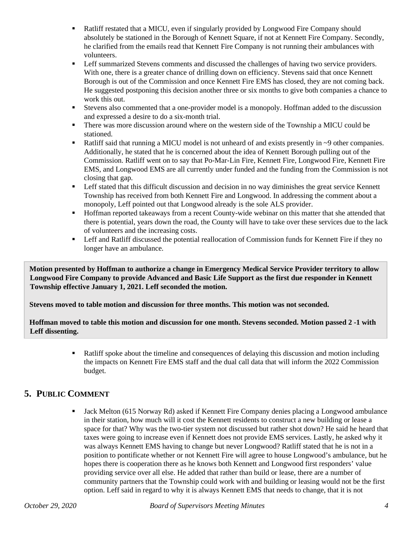- Ratliff restated that a MICU, even if singularly provided by Longwood Fire Company should absolutely be stationed in the Borough of Kennett Square, if not at Kennett Fire Company. Secondly, he clarified from the emails read that Kennett Fire Company is not running their ambulances with volunteers.
- **Example 1** Leff summarized Stevens comments and discussed the challenges of having two service providers. With one, there is a greater chance of drilling down on efficiency. Stevens said that once Kennett Borough is out of the Commission and once Kennett Fire EMS has closed, they are not coming back. He suggested postponing this decision another three or six months to give both companies a chance to work this out.
- Stevens also commented that a one-provider model is a monopoly. Hoffman added to the discussion and expressed a desire to do a six-month trial.
- **There was more discussion around where on the western side of the Township a MICU could be** stationed.
- Ratliff said that running a MICU model is not unheard of and exists presently in ~9 other companies. Additionally, he stated that he is concerned about the idea of Kennett Borough pulling out of the Commission. Ratliff went on to say that Po-Mar-Lin Fire, Kennett Fire, Longwood Fire, Kennett Fire EMS, and Longwood EMS are all currently under funded and the funding from the Commission is not closing that gap.
- **EXECUTE:** Leff stated that this difficult discussion and decision in no way diminishes the great service Kennett Township has received from both Kennett Fire and Longwood. In addressing the comment about a monopoly, Leff pointed out that Longwood already is the sole ALS provider.
- Hoffman reported takeaways from a recent County-wide webinar on this matter that she attended that there is potential, years down the road, the County will have to take over these services due to the lack of volunteers and the increasing costs.
- **EXECUTE:** Leff and Ratliff discussed the potential reallocation of Commission funds for Kennett Fire if they no longer have an ambulance.

**Motion presented by Hoffman to authorize a change in Emergency Medical Service Provider territory to allow Longwood Fire Company to provide Advanced and Basic Life Support as the first due responder in Kennett Township effective January 1, 2021. Leff seconded the motion.** 

**Stevens moved to table motion and discussion for three months. This motion was not seconded.**

**Hoffman moved to table this motion and discussion for one month. Stevens seconded. Motion passed 2 -1 with Leff dissenting.**

> • Ratliff spoke about the timeline and consequences of delaying this discussion and motion including the impacts on Kennett Fire EMS staff and the dual call data that will inform the 2022 Commission budget.

## **5. PUBLIC COMMENT**

 Jack Melton (615 Norway Rd) asked if Kennett Fire Company denies placing a Longwood ambulance in their station, how much will it cost the Kennett residents to construct a new building or lease a space for that? Why was the two-tier system not discussed but rather shot down? He said he heard that taxes were going to increase even if Kennett does not provide EMS services. Lastly, he asked why it was always Kennett EMS having to change but never Longwood? Ratliff stated that he is not in a position to pontificate whether or not Kennett Fire will agree to house Longwood's ambulance, but he hopes there is cooperation there as he knows both Kennett and Longwood first responders' value providing service over all else. He added that rather than build or lease, there are a number of community partners that the Township could work with and building or leasing would not be the first option. Leff said in regard to why it is always Kennett EMS that needs to change, that it is not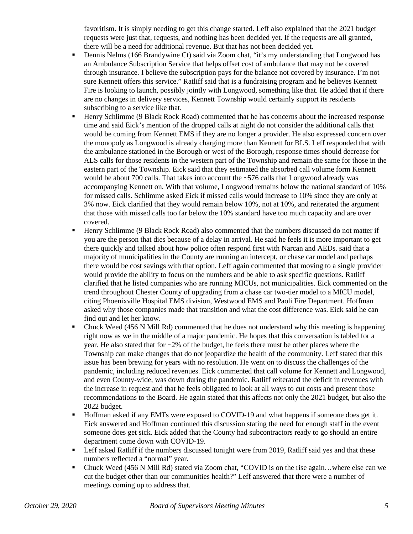favoritism. It is simply needing to get this change started. Leff also explained that the 2021 budget requests were just that, requests, and nothing has been decided yet. If the requests are all granted, there will be a need for additional revenue. But that has not been decided yet.

- Dennis Nelms (166 Brandywine Ct) said via Zoom chat, "it's my understanding that Longwood has an Ambulance Subscription Service that helps offset cost of ambulance that may not be covered through insurance. I believe the subscription pays for the balance not covered by insurance. I'm not sure Kennett offers this service." Ratliff said that is a fundraising program and he believes Kennett Fire is looking to launch, possibly jointly with Longwood, something like that. He added that if there are no changes in delivery services, Kennett Township would certainly support its residents subscribing to a service like that.
- Henry Schlimme (9 Black Rock Road) commented that he has concerns about the increased response time and said Eick's mention of the dropped calls at night do not consider the additional calls that would be coming from Kennett EMS if they are no longer a provider. He also expressed concern over the monopoly as Longwood is already charging more than Kennett for BLS. Leff responded that with the ambulance stationed in the Borough or west of the Borough, response times should decrease for ALS calls for those residents in the western part of the Township and remain the same for those in the eastern part of the Township. Eick said that they estimated the absorbed call volume form Kennett would be about 700 calls. That takes into account the ~576 calls that Longwood already was accompanying Kennett on. With that volume, Longwood remains below the national standard of 10% for missed calls. Schlimme asked Eick if missed calls would increase to 10% since they are only at 3% now. Eick clarified that they would remain below 10%, not at 10%, and reiterated the argument that those with missed calls too far below the 10% standard have too much capacity and are over covered.
- Henry Schlimme (9 Black Rock Road) also commented that the numbers discussed do not matter if you are the person that dies because of a delay in arrival. He said he feels it is more important to get there quickly and talked about how police often respond first with Narcan and AEDs. said that a majority of municipalities in the County are running an intercept, or chase car model and perhaps there would be cost savings with that option. Leff again commented that moving to a single provider would provide the ability to focus on the numbers and be able to ask specific questions. Ratliff clarified that he listed companies who are running MICUs, not municipalities. Eick commented on the trend throughout Chester County of upgrading from a chase car two-tier model to a MICU model, citing Phoenixville Hospital EMS division, Westwood EMS and Paoli Fire Department. Hoffman asked why those companies made that transition and what the cost difference was. Eick said he can find out and let her know.
- Chuck Weed (456 N Mill Rd) commented that he does not understand why this meeting is happening right now as we in the middle of a major pandemic. He hopes that this conversation is tabled for a year. He also stated that for ~2% of the budget, he feels there must be other places where the Township can make changes that do not jeopardize the health of the community. Leff stated that this issue has been brewing for years with no resolution. He went on to discuss the challenges of the pandemic, including reduced revenues. Eick commented that call volume for Kennett and Longwood, and even County-wide, was down during the pandemic. Ratliff reiterated the deficit in revenues with the increase in request and that he feels obligated to look at all ways to cut costs and present those recommendations to the Board. He again stated that this affects not only the 2021 budget, but also the 2022 budget.
- Hoffman asked if any EMTs were exposed to COVID-19 and what happens if someone does get it. Eick answered and Hoffman continued this discussion stating the need for enough staff in the event someone does get sick. Eick added that the County had subcontractors ready to go should an entire department come down with COVID-19.
- **EXECUTE:** Leff asked Ratliff if the numbers discussed tonight were from 2019, Ratliff said yes and that these numbers reflected a "normal" year.
- Chuck Weed (456 N Mill Rd) stated via Zoom chat, "COVID is on the rise again...where else can we cut the budget other than our communities health?" Leff answered that there were a number of meetings coming up to address that.